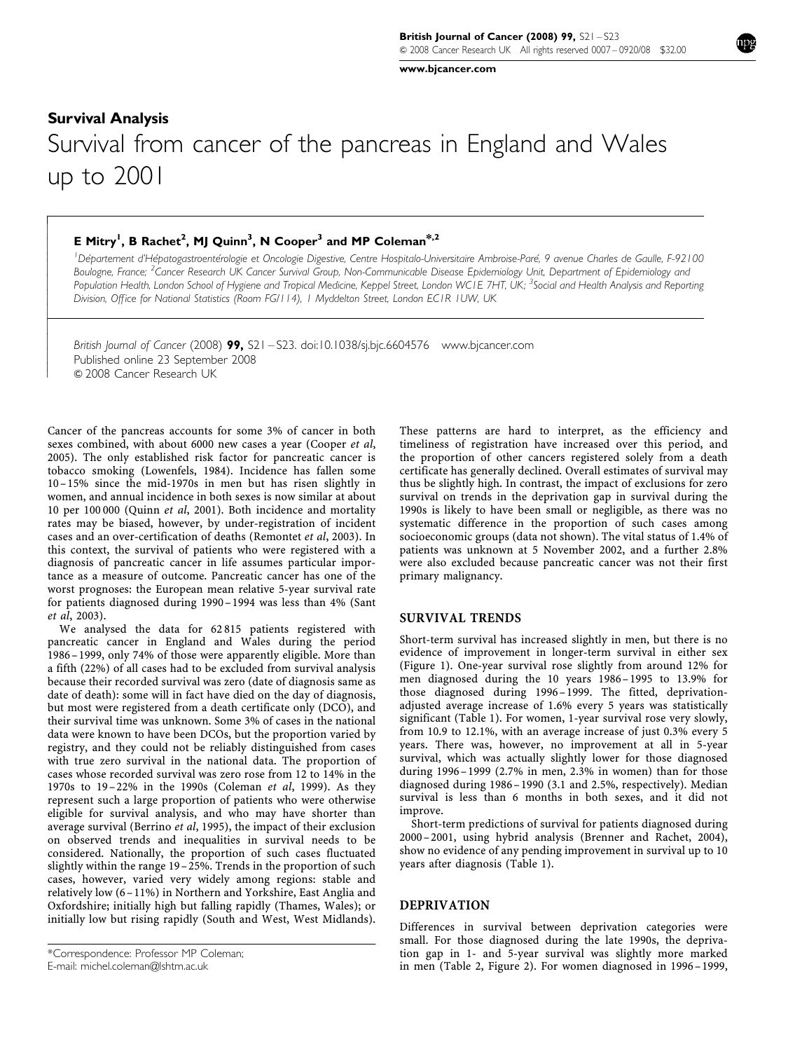[www.bjcancer.com](http://www.bjcancer.com)

# Survival Analysis Survival from cancer of the pancreas in England and Wales up to 2001

## E Mitry<sup>1</sup>, B Rachet<sup>2</sup>, MJ Quinn<sup>3</sup>, N Cooper<sup>3</sup> and MP Coleman<sup>\*,2</sup>

 $\overline{1}$  $\overline{\phantom{a}}$  $\overline{\phantom{a}}$  $\overline{\phantom{a}}$  $\overline{\phantom{a}}$  $\mathcal{L}$  $\overline{\phantom{a}}$  $\overline{\phantom{a}}$  $\overline{\phantom{a}}$  $\mathcal{L}$  $\overline{\phantom{a}}$  $\overline{\phantom{a}}$  $\overline{\phantom{a}}$  $\overline{\phantom{a}}$ ł  $\overline{\phantom{a}}$  $\overline{\phantom{a}}$  $\overline{\phantom{a}}$  $\overline{\phantom{a}}$  $\mathcal{L}$  $\overline{\phantom{a}}$  $\overline{\phantom{a}}$ 

<sup>1</sup>Département d'Hépatogastroentérologie et Oncologie Digestive, Centre Hospitalo-Universitaire Ambroise-Paré, 9 avenue Charles de Gaulle, F-92100 Boulogne, France; <sup>2</sup>Cancer Research UK Cancer Survival Group, Non-Communicable Disease Epidemiology Unit, Department of Epidemiology and Population Health, London School of Hygiene and Tropical Medicine, Keppel Street, London WC1E 7HT, UK; <sup>3</sup>Social and Health Analysis and Reporting Division, Office for National Statistics (Room FG/114), 1 Myddelton Street, London EC1R 1UW, UK

British Journal of Cancer (2008) 99, S21 - S23. doi:[10.1038/sj.bjc.6604576](http://dx.doi.org/10.1038/sj.bjc.6604576) [www.bjcancer.com](http://www.bjcancer.com) Published online 23 September 2008 & 2008 Cancer Research UK

Cancer of the pancreas accounts for some 3% of cancer in both sexes combined, with about 6000 new cases a year ([Cooper](#page-2-0) et al, [2005](#page-2-0)). The only established risk factor for pancreatic cancer is tobacco smoking ([Lowenfels, 1984\)](#page-2-0). Incidence has fallen some 10–15% since the mid-1970s in men but has risen slightly in women, and annual incidence in both sexes is now similar at about 10 per 100 000 [\(Quinn](#page-2-0) et al, 2001). Both incidence and mortality rates may be biased, however, by under-registration of incident cases and an over-certification of deaths ([Remontet](#page-2-0) et al, 2003). In this context, the survival of patients who were registered with a diagnosis of pancreatic cancer in life assumes particular importance as a measure of outcome. Pancreatic cancer has one of the worst prognoses: the European mean relative 5-year survival rate for patients diagnosed during 1990–1994 was less than 4% ([Sant](#page-2-0) et al[, 2003\)](#page-2-0).

We analysed the data for 62 815 patients registered with pancreatic cancer in England and Wales during the period 1986– 1999, only 74% of those were apparently eligible. More than a fifth (22%) of all cases had to be excluded from survival analysis because their recorded survival was zero (date of diagnosis same as date of death): some will in fact have died on the day of diagnosis, but most were registered from a death certificate only (DCO), and their survival time was unknown. Some 3% of cases in the national data were known to have been DCOs, but the proportion varied by registry, and they could not be reliably distinguished from cases with true zero survival in the national data. The proportion of cases whose recorded survival was zero rose from 12 to 14% in the 1970s to 19–22% in the 1990s ([Coleman](#page-2-0) et al, 1999). As they represent such a large proportion of patients who were otherwise eligible for survival analysis, and who may have shorter than average survival [\(Berrino](#page-2-0) et al, 1995), the impact of their exclusion on observed trends and inequalities in survival needs to be considered. Nationally, the proportion of such cases fluctuated slightly within the range  $19 - 25\%$ . Trends in the proportion of such cases, however, varied very widely among regions: stable and relatively low (6–11%) in Northern and Yorkshire, East Anglia and Oxfordshire; initially high but falling rapidly (Thames, Wales); or initially low but rising rapidly (South and West, West Midlands). These patterns are hard to interpret, as the efficiency and timeliness of registration have increased over this period, and the proportion of other cancers registered solely from a death certificate has generally declined. Overall estimates of survival may thus be slightly high. In contrast, the impact of exclusions for zero survival on trends in the deprivation gap in survival during the 1990s is likely to have been small or negligible, as there was no systematic difference in the proportion of such cases among socioeconomic groups (data not shown). The vital status of 1.4% of patients was unknown at 5 November 2002, and a further 2.8% were also excluded because pancreatic cancer was not their first primary malignancy.

### SURVIVAL TRENDS

Short-term survival has increased slightly in men, but there is no evidence of improvement in longer-term survival in either sex [\(Figure 1\)](#page-1-0). One-year survival rose slightly from around 12% for men diagnosed during the 10 years 1986– 1995 to 13.9% for those diagnosed during 1996-1999. The fitted, deprivationadjusted average increase of 1.6% every 5 years was statistically significant ([Table 1](#page-1-0)). For women, 1-year survival rose very slowly, from 10.9 to 12.1%, with an average increase of just 0.3% every 5 years. There was, however, no improvement at all in 5-year survival, which was actually slightly lower for those diagnosed during 1996–1999 (2.7% in men, 2.3% in women) than for those diagnosed during 1986–1990 (3.1 and 2.5%, respectively). Median survival is less than 6 months in both sexes, and it did not improve.

Short-term predictions of survival for patients diagnosed during 2000– 2001, using hybrid analysis ([Brenner and Rachet, 2004\)](#page-2-0), show no evidence of any pending improvement in survival up to 10 years after diagnosis [\(Table 1](#page-1-0)).

#### DEPRIVATION

Differences in survival between deprivation categories were small. For those diagnosed during the late 1990s, the deprivation gap in 1- and 5-year survival was slightly more marked in men [\(Table 2](#page-2-0), [Figure 2](#page-1-0)). For women diagnosed in 1996–1999,

<sup>\*</sup>Correspondence: Professor MP Coleman; E-mail: [michel.coleman@lshtm.ac.uk](mailto:michel.coleman@lshtm.ac.uk)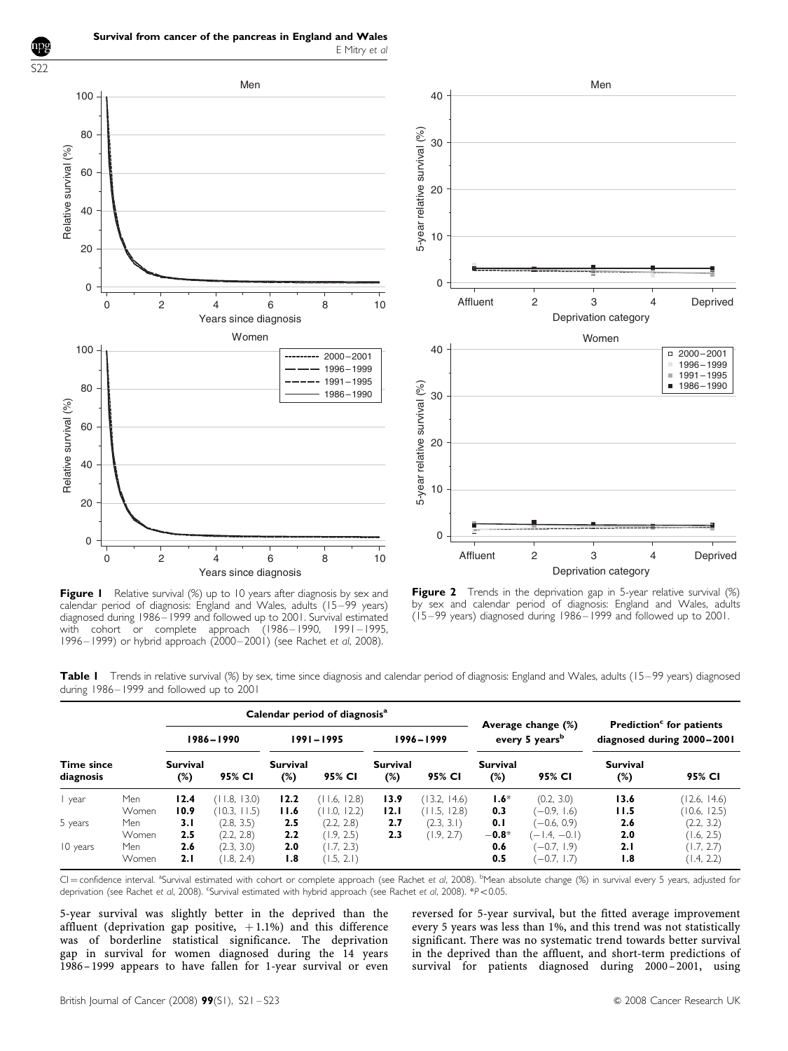<span id="page-1-0"></span>



Figure I Relative survival (%) up to 10 years after diagnosis by sex and calendar period of diagnosis: England and Wales, adults (15–99 years) diagnosed during 1986–1999 and followed up to 2001. Survival estimated with cohort or complete approach (1986–1990, 1991–1995, 1996–1999) or hybrid approach (2000–2001) (see Rachet et al, 2008).

**Figure 2** Trends in the deprivation gap in 5-year relative survival (%) by sex and calendar period of diagnosis: England and Wales, adults (15–99 years) diagnosed during 1986–1999 and followed up to 2001.

Table I Trends in relative survival (%) by sex, time since diagnosis and calendar period of diagnosis: England and Wales, adults (15–99 years) diagnosed during 1986–1999 and followed up to 2001

|                                |              | Calendar period of diagnosis <sup>a</sup> |                              |                           |                                |                           |                               |                                                  |                                 | Prediction <sup>c</sup> for patients |                              |
|--------------------------------|--------------|-------------------------------------------|------------------------------|---------------------------|--------------------------------|---------------------------|-------------------------------|--------------------------------------------------|---------------------------------|--------------------------------------|------------------------------|
|                                |              | 1986-1990                                 |                              | 1991–1995                 |                                | $1996 - 1999$             |                               | Average change (%)<br>every 5 years <sup>b</sup> |                                 | diagnosed during 2000-2001           |                              |
| <b>Time since</b><br>diagnosis |              | <b>Survival</b><br>$(\%)$                 | 95% CI                       | <b>Survival</b><br>$(\%)$ | 95% CI                         | <b>Survival</b><br>$(\%)$ | 95% CI                        | <b>Survival</b><br>$(\%)$                        | 95% CI                          | <b>Survival</b><br>(%)               | 95% CI                       |
| year                           | Men<br>Women | 12.4<br>10.9                              | (11.8, 13.0)<br>(10.3, 11.5) | 12.2<br>11.6              | (11.6, 12.8)<br>12.2)<br>11.0. | 13.9<br>12.1              | (13.2, 14.6)<br>12.8<br>11.5. | $1.6*$<br>0.3                                    | (0.2, 3.0)<br>$(-0.9, 1.6)$     | 13.6<br>11.5                         | (12.6, 14.6)<br>(10.6, 12.5) |
| 5 years                        | Men<br>Women | 3.1<br>2.5                                | (2.8, 3.5)<br>(2.2, 2.8)     | 2.5<br>2.2                | (2.2, 2.8)<br>(1.9, 2.5)       | 2.7<br>2.3                | (2.3, 3.1)<br>(1.9, 2.7)      | 0.1<br>$-0.8*$                                   | $(-0.6, 0.9)$<br>$(-1.4, -0.1)$ | 2.6<br>2.0                           | (2.2, 3.2)<br>(1.6, 2.5)     |
| 10 years                       | Men<br>Women | 2.6<br>2.1                                | (2.3, 3.0)<br>(1.8, 2.4)     | 2.0<br>1.8                | (1.7, 2.3)<br>(1.5, 2.1)       |                           |                               | 0.6<br>0.5                                       | $(-0.7, 1.9)$<br>$(-0.7, 1.7)$  | 2.1<br>1.8                           | (1.7, 2.7)<br>(1.4, 2.2)     |

CI = confidence interval. <sup>a</sup>Survival estimated with cohort or complete approach (see Rachet et al, 2008). <sup>b</sup>Mean absolute change (%) in survival every 5 years, adjusted for deprivation (see Rachet et al, 2008). 'Survival estimated with hybrid approach (see Rachet et al, 2008). \*P<0.05.

5-year survival was slightly better in the deprived than the affluent (deprivation gap positive,  $+1.1\%$ ) and this difference was of borderline statistical significance. The deprivation gap in survival for women diagnosed during the 14 years 1986– 1999 appears to have fallen for 1-year survival or even

reversed for 5-year survival, but the fitted average improvement every 5 years was less than 1%, and this trend was not statistically significant. There was no systematic trend towards better survival in the deprived than the affluent, and short-term predictions of survival for patients diagnosed during 2000–2001, using